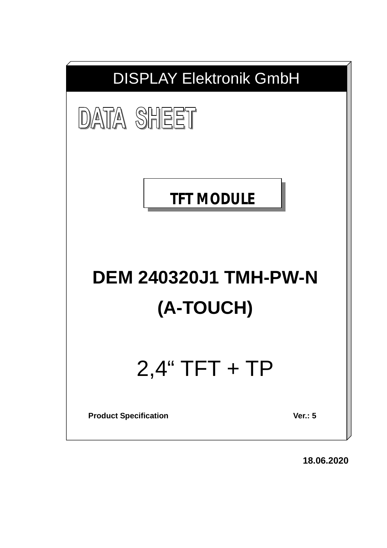

**18.06.2020**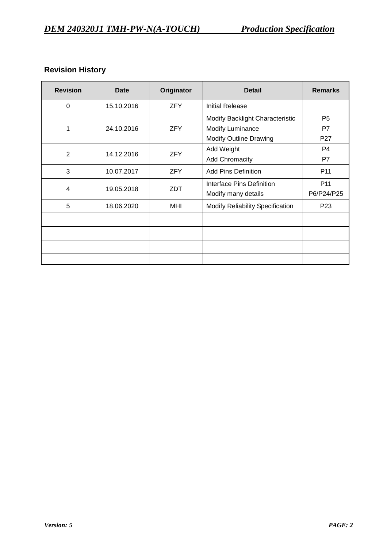# **Revision History**

| <b>Revision</b> | Date       | Originator | <b>Detail</b>                    | <b>Remarks</b>  |
|-----------------|------------|------------|----------------------------------|-----------------|
| 0               | 15.10.2016 | <b>ZFY</b> | <b>Initial Release</b>           |                 |
|                 |            |            | Modify Backlight Characteristic  | P <sub>5</sub>  |
| 1               | 24.10.2016 | <b>ZFY</b> | <b>Modify Luminance</b>          | P7              |
|                 |            |            | <b>Modify Outline Drawing</b>    | P <sub>27</sub> |
| $\overline{2}$  | 14.12.2016 | <b>ZFY</b> | Add Weight                       | P <sub>4</sub>  |
|                 |            |            | <b>Add Chromacity</b>            | P7              |
| 3               | 10.07.2017 | <b>ZFY</b> | <b>Add Pins Definition</b>       | P <sub>11</sub> |
| $\overline{4}$  | 19.05.2018 | ZDT        | Interface Pins Definition        | P <sub>11</sub> |
|                 |            |            | Modify many details              | P6/P24/P25      |
| 5               | 18.06.2020 | <b>MHI</b> | Modify Reliability Specification | P <sub>23</sub> |
|                 |            |            |                                  |                 |
|                 |            |            |                                  |                 |
|                 |            |            |                                  |                 |
|                 |            |            |                                  |                 |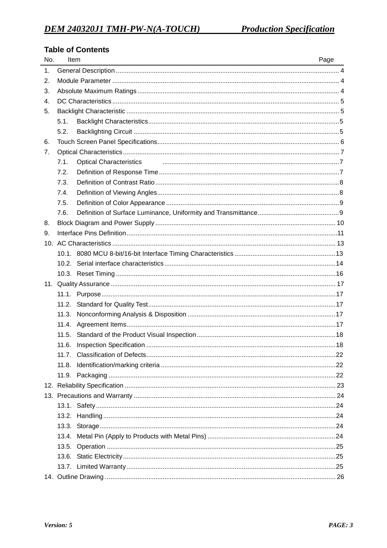# **Table of Contents**

| 1.<br>2.<br>3.<br>4.<br>5.<br>5.1.<br>5.2.<br>6.<br>7.<br>7.1.<br><b>Optical Characteristics</b><br>7.2.<br>7.3.<br>7.4.<br>7.5.<br>7.6.<br>8.<br>9. |
|------------------------------------------------------------------------------------------------------------------------------------------------------|
|                                                                                                                                                      |
|                                                                                                                                                      |
|                                                                                                                                                      |
|                                                                                                                                                      |
|                                                                                                                                                      |
|                                                                                                                                                      |
|                                                                                                                                                      |
|                                                                                                                                                      |
|                                                                                                                                                      |
|                                                                                                                                                      |
|                                                                                                                                                      |
|                                                                                                                                                      |
|                                                                                                                                                      |
|                                                                                                                                                      |
|                                                                                                                                                      |
|                                                                                                                                                      |
|                                                                                                                                                      |
|                                                                                                                                                      |
|                                                                                                                                                      |
|                                                                                                                                                      |
|                                                                                                                                                      |
|                                                                                                                                                      |
|                                                                                                                                                      |
| 11.2.                                                                                                                                                |
| 11.3.                                                                                                                                                |
|                                                                                                                                                      |
|                                                                                                                                                      |
|                                                                                                                                                      |
|                                                                                                                                                      |
|                                                                                                                                                      |
|                                                                                                                                                      |
|                                                                                                                                                      |
|                                                                                                                                                      |
|                                                                                                                                                      |
|                                                                                                                                                      |
|                                                                                                                                                      |
|                                                                                                                                                      |
|                                                                                                                                                      |
|                                                                                                                                                      |
|                                                                                                                                                      |
|                                                                                                                                                      |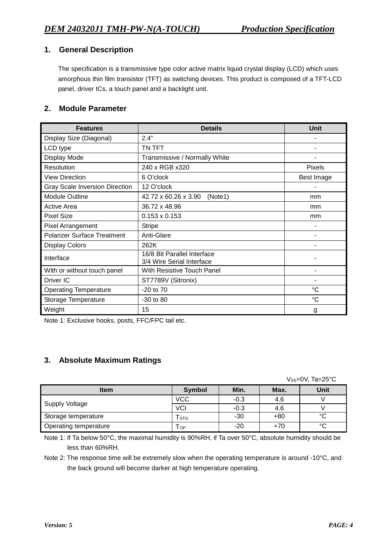# **1. General Description**

The specification is a transmissive type color active matrix liquid crystal display (LCD) which uses amorphous thin film transistor (TFT) as switching devices. This product is composed of a TFT-LCD panel, driver ICs, a touch panel and a backlight unit.

## **2. Module Parameter**

| <b>Features</b>                       | <b>Details</b>                                           | <b>Unit</b>   |
|---------------------------------------|----------------------------------------------------------|---------------|
| Display Size (Diagonal)               | 2.4"                                                     |               |
| LCD type                              | TN TFT                                                   |               |
| Display Mode                          | Transmissive / Normally White                            |               |
| Resolution                            | 240 x RGB x320                                           | <b>Pixels</b> |
| <b>View Direction</b>                 | 6 O'clock                                                | Best Image    |
| <b>Gray Scale Inversion Direction</b> | 12 O'clock                                               |               |
| <b>Module Outline</b>                 | 42.72 x 60.26 x 3.90<br>(Note1)                          | mm            |
| <b>Active Area</b>                    | 36.72 x 48.96                                            | mm            |
| <b>Pixel Size</b>                     | $0.153 \times 0.153$                                     | mm            |
| <b>Pixel Arrangement</b>              | <b>Stripe</b>                                            |               |
| <b>Polarizer Surface Treatment</b>    | Anti-Glare                                               |               |
| <b>Display Colors</b>                 | 262K                                                     |               |
| Interface                             | 16/8 Bit Parallel Interface<br>3/4 Wire Serial Interface |               |
| With or without touch panel           | With Resistive Touch Panel                               |               |
| Driver IC                             | ST7789V (Sitronix)                                       |               |
| <b>Operating Temperature</b>          | $-20$ to $70$                                            | °C            |
| Storage Temperature                   | $-30$ to $80$                                            | $^{\circ}C$   |
| Weight                                | 15                                                       | g             |

Note 1: Exclusive hooks, posts, FFC/FPC tail etc.

# **3. Absolute Maximum Ratings**

Vss=0V, Ta=25°C

| <b>Item</b>           | <b>Symbol</b> | Min.   | Max.  | <b>Unit</b> |
|-----------------------|---------------|--------|-------|-------------|
|                       | <b>VCC</b>    | $-0.3$ | 4.6   |             |
| Supply Voltage        | <b>VCI</b>    | $-0.3$ | 4.6   |             |
| Storage temperature   | l stg         | $-30$  | $+80$ | $\sim$      |
| Operating temperature | i OP          | $-20$  | $+70$ | $\sim$      |

Note 1: If Ta below 50°C, the maximal humidity is 90%RH, if Ta over 50°C, absolute humidity should be less than 60%RH.

Note 2: The response time will be extremely slow when the operating temperature is around -10°C, and the back ground will become darker at high temperature operating.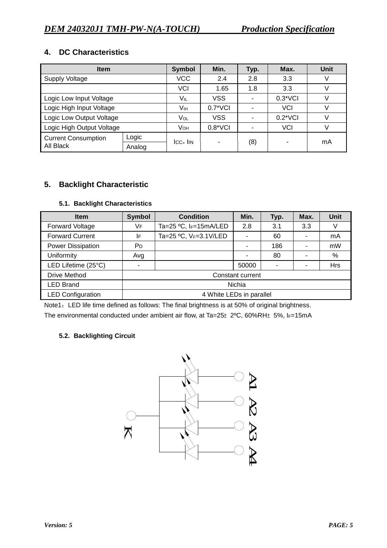# **4. DC Characteristics**

| <b>Item</b>                         | <b>Symbol</b> | Min.             | Typ.             | Max.             | <b>Unit</b> |    |
|-------------------------------------|---------------|------------------|------------------|------------------|-------------|----|
| <b>Supply Voltage</b>               | <b>VCC</b>    | 2.4              | 2.8              | 3.3              | V           |    |
|                                     | VCI           | 1.65             | 1.8              | 3.3              | V           |    |
| Logic Low Input Voltage             | VIL           | VSS              |                  | $0.3$ *VCI       | V           |    |
| Logic High Input Voltage            | Vıн           | $0.7^{\ast}$ VCI |                  | <b>VCI</b>       | V           |    |
| Logic Low Output Voltage            | VOL           | <b>VSS</b>       |                  | $0.2^{\ast}$ VCI | V           |    |
| Logic High Output Voltage           |               | VOH              | $0.8^{\ast}$ VCI |                  | <b>VCI</b>  | V  |
| Logic<br><b>Current Consumption</b> |               | $ICC+$ $IIN$     | ۰                |                  |             | mA |
| All Black                           | Analog        |                  |                  | (8)              |             |    |

# **5. Backlight Characteristic**

### **5.1. Backlight Characteristics**

| <b>Item</b>              | Symbol                   | <b>Condition</b>         | Min.  | Typ. | Max. | Unit       |
|--------------------------|--------------------------|--------------------------|-------|------|------|------------|
| <b>Forward Voltage</b>   | VF                       | Ta=25 °C, IF=15mA/LED    | 2.8   | 3.1  | 3.3  |            |
| <b>Forward Current</b>   | IF                       | Ta=25 °C, VF=3.1V/LED    |       | 60   |      | mA         |
| <b>Power Dissipation</b> | P <sub>D</sub>           |                          |       | 186  |      | mW         |
| Uniformity               | Avg                      |                          |       | 80   |      | %          |
| LED Lifetime (25°C)      | $\overline{\phantom{0}}$ |                          | 50000 | ٠    |      | <b>Hrs</b> |
| Drive Method             | Constant current         |                          |       |      |      |            |
| <b>LED Brand</b>         | <b>Nichia</b>            |                          |       |      |      |            |
| <b>LED Configuration</b> |                          | 4 White LEDs in parallel |       |      |      |            |

Note1: LED life time defined as follows: The final brightness is at 50% of original brightness. The environmental conducted under ambient air flow, at Ta=25 $\pm$ 2°C, 60%RH $\pm$ 5%, IF=15mA

#### **5.2. Backlighting Circuit**

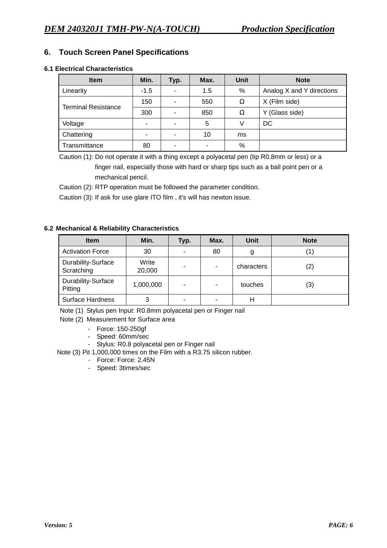# **6. Touch Screen Panel Specifications**

#### **6.1 Electrical Characteristics**

| <b>Item</b>                | Min.   | Typ.           | Max. | <b>Unit</b> | <b>Note</b>               |
|----------------------------|--------|----------------|------|-------------|---------------------------|
| Linearity                  | $-1.5$ |                | 1.5  | %           | Analog X and Y directions |
| <b>Terminal Resistance</b> | 150    |                | 550  | Ω           | X (Film side)             |
|                            | 300    |                | 850  | Ω           | (Glass side)<br>Y         |
| Voltage                    |        | $\blacksquare$ | 5    | V           | DC                        |
| Chattering                 | -      | -              | 10   | ms          |                           |
| Transmittance              | 80     |                | ٠    | %           |                           |

Caution (1): Do not operate it with a thing except a polyacetal pen (tip R0.8mm or less) or a finger nail, especially those with hard or sharp tips such as a ball point pen or a mechanical pencil.

Caution (2): RTP operation must be followed the parameter condition.

Caution (3): If ask for use glare ITO film , it's will has newton issue.

#### **6.2 Mechanical & Reliability Characteristics**

| <b>Item</b>                      | Min.            | Typ. | Max.                     | Unit       | <b>Note</b> |
|----------------------------------|-----------------|------|--------------------------|------------|-------------|
| <b>Activation Force</b>          | 30              | ۰    | 80                       |            |             |
| Durability-Surface<br>Scratching | Write<br>20,000 | ۰    | $\overline{\phantom{a}}$ | characters | (2)         |
| Durability-Surface<br>Pitting    | 1,000,000       | ۰    |                          | touches    | (3)         |
| <b>Surface Hardness</b>          | 3               | ۰    |                          |            |             |

Note (1) Stylus pen Input: R0.8mm polyacetal pen or Finger nail

Note (2) Measurement for Surface area

- Force: 150-250gf
- Speed: 60mm/sec
- Stylus: R0.8 polyacetal pen or Finger nail
- Note (3) Pit 1,000,000 times on the Film with a R3.75 silicon rubber.
	- Force: Force: 2.45N
	- Speed: 3times/sec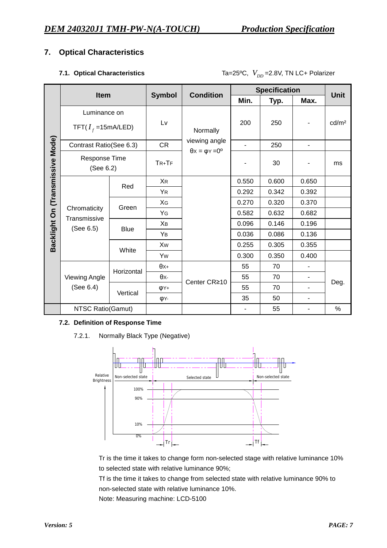# **7. Optical Characteristics**

|  |                                  |             |                                                   | <b>Specification</b><br><b>Condition</b> |                |       |                |                   |
|--|----------------------------------|-------------|---------------------------------------------------|------------------------------------------|----------------|-------|----------------|-------------------|
|  | Item                             |             | <b>Symbol</b>                                     |                                          | Min.           | Typ.  | Max.           | <b>Unit</b>       |
|  | Luminance on                     |             |                                                   |                                          |                |       |                |                   |
|  | TFT( $I_f$ =15mA/LED)            |             | Lv                                                | Normally                                 | 200            | 250   |                | cd/m <sup>2</sup> |
|  | Contrast Ratio(See 6.3)          |             | <b>CR</b>                                         | viewing angle                            | $\blacksquare$ | 250   | $\blacksquare$ |                   |
|  | Response Time<br>(See 6.2)       |             | $\theta$ x = $\varphi$ Y = $0^{\circ}$<br>$TR+TF$ |                                          | 30             |       | ms             |                   |
|  | Backlight On (Transmissive Mode) | Red         | <b>XR</b>                                         |                                          | 0.550          | 0.600 | 0.650          |                   |
|  |                                  |             | <b>YR</b>                                         |                                          | 0.292          | 0.342 | 0.392          |                   |
|  |                                  | Green       | XG                                                |                                          | 0.270          | 0.320 | 0.370          |                   |
|  | Chromaticity<br>Transmissive     |             | YG                                                |                                          | 0.582          | 0.632 | 0.682          |                   |
|  | (See 6.5)                        | <b>Blue</b> | Xв                                                |                                          | 0.096          | 0.146 | 0.196          |                   |
|  |                                  |             | YB                                                |                                          | 0.036          | 0.086 | 0.136          |                   |
|  |                                  | White       | Xw                                                |                                          | 0.255          | 0.305 | 0.355          |                   |
|  |                                  |             | Yw                                                |                                          | 0.300          | 0.350 | 0.400          |                   |
|  |                                  | Horizontal  | $\theta x+$                                       |                                          | 55             | 70    |                |                   |
|  | <b>Viewing Angle</b>             |             | θх-                                               | Center CR≥10                             | 55             | 70    | ٠              |                   |
|  | (See 6.4)                        | Vertical    | φY+                                               |                                          | 55             | 70    | ۰              | Deg.              |
|  |                                  |             | <b>φ</b> Υ-                                       |                                          | 35             | 50    |                |                   |
|  | NTSC Ratio(Gamut)                |             |                                                   |                                          |                | 55    |                | $\%$              |

#### **7.1. Optical Characteristics** Ta=25°C,  $V_{DD}$  =2.8V, TN LC+ Polarizer

#### **7.2. Definition of Response Time**

7.2.1. Normally Black Type (Negative)



Tr is the time it takes to change form non-selected stage with relative luminance 10% to selected state with relative luminance 90%;

Tf is the time it takes to change from selected state with relative luminance 90% to non-selected state with relative luminance 10%.

Note: Measuring machine: LCD-5100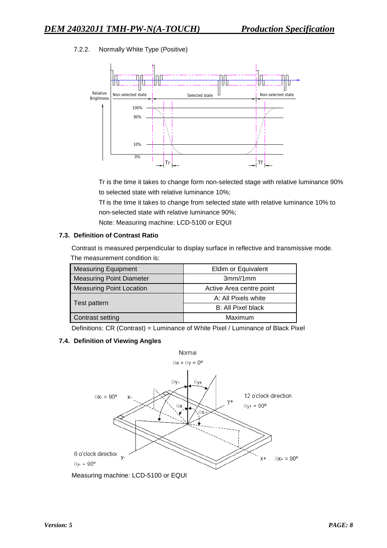### 7.2.2. Normally White Type (Positive)



Tr is the time it takes to change form non-selected stage with relative luminance 90% to selected state with relative luminance 10%;

Tf is the time it takes to change from selected state with relative luminance 10% to non-selected state with relative luminance 90%;

Note: Measuring machine: LCD-5100 or EQUI

#### **7.3. Definition of Contrast Ratio**

Contrast is measured perpendicular to display surface in reflective and transmissive mode. The measurement condition is:

| <b>Measuring Equipment</b>      | Eldim or Equivalent      |
|---------------------------------|--------------------------|
| <b>Measuring Point Diameter</b> | 3mm/1mm                  |
| <b>Measuring Point Location</b> | Active Area centre point |
|                                 | A: All Pixels white      |
| Test pattern                    | B: All Pixel black       |
| Contrast setting                | Maximum                  |

Definitions: CR (Contrast) = Luminance of White Pixel / Luminance of Black Pixel

#### **7.4. Definition of Viewing Angles**

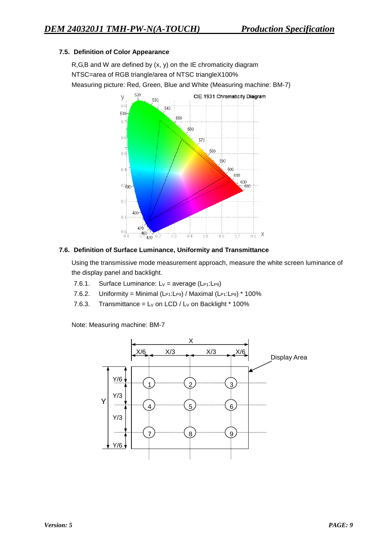### **7.5. Definition of Color Appearance**

R,G,B and W are defined by (x, y) on the IE chromaticity diagram NTSC=area of RGB triangle/area of NTSC triangleX100% Measuring picture: Red, Green, Blue and White (Measuring machine: BM-7)



#### **7.6. Definition of Surface Luminance, Uniformity and Transmittance**

Using the transmissive mode measurement approach, measure the white screen luminance of the display panel and backlight.

- 7.6.1. Surface Luminance:  $Lv = average (L_{P1}:L_{P9})$
- 7.6.2. Uniformity = Minimal (L $P1:LP9)$  / Maximal (L $P1:LP9)$  \* 100%
- 7.6.3. Transmittance =  $Lv$  on LCD /  $Lv$  on Backlight  $*$  100%

Note: Measuring machine: BM-7

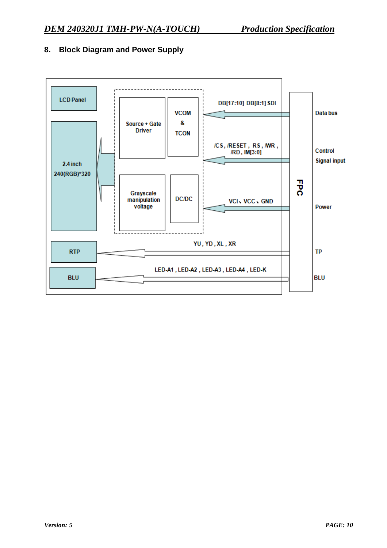

# **8. Block Diagram and Power Supply**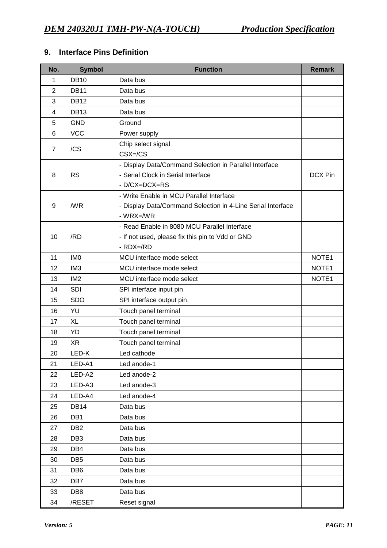# **9. Interface Pins Definition**

| No.            | <b>Symbol</b>   | <b>Function</b>                                             | <b>Remark</b> |
|----------------|-----------------|-------------------------------------------------------------|---------------|
| 1              | <b>DB10</b>     | Data bus                                                    |               |
| $\overline{2}$ | <b>DB11</b>     | Data bus                                                    |               |
| 3              | <b>DB12</b>     | Data bus                                                    |               |
| 4              | <b>DB13</b>     | Data bus                                                    |               |
| 5              | <b>GND</b>      | Ground                                                      |               |
| 6              | <b>VCC</b>      | Power supply                                                |               |
| $\overline{7}$ | /CS             | Chip select signal                                          |               |
|                |                 | $CSX = / CS$                                                |               |
|                |                 | - Display Data/Command Selection in Parallel Interface      |               |
| 8              | <b>RS</b>       | - Serial Clock in Serial Interface                          | DCX Pin       |
|                |                 | - D/CX=DCX=RS                                               |               |
|                |                 | - Write Enable in MCU Parallel Interface                    |               |
| 9              | /WR             | - Display Data/Command Selection in 4-Line Serial Interface |               |
|                |                 | $-WRX = WR$                                                 |               |
|                |                 | - Read Enable in 8080 MCU Parallel Interface                |               |
| 10             | /RD             | - If not used, please fix this pin to Vdd or GND            |               |
|                |                 | $-RDX = /RD$                                                |               |
| 11             | IM <sub>0</sub> | MCU interface mode select                                   | NOTE1         |
| 12             | IM <sub>3</sub> | MCU interface mode select                                   | NOTE1         |
| 13             | IM <sub>2</sub> | MCU interface mode select                                   | NOTE1         |
| 14             | SDI             | SPI interface input pin                                     |               |
| 15             | <b>SDO</b>      | SPI interface output pin.                                   |               |
| 16             | YU              | Touch panel terminal                                        |               |
| 17             | <b>XL</b>       | Touch panel terminal                                        |               |
| 18             | <b>YD</b>       | Touch panel terminal                                        |               |
| 19             | <b>XR</b>       | Touch panel terminal                                        |               |
| 20             | LED-K           | Led cathode                                                 |               |
| 21             | LED-A1          | Led anode-1                                                 |               |
| 22             | LED-A2          | Led anode-2                                                 |               |
| 23             | LED-A3          | Led anode-3                                                 |               |
| 24             | LED-A4          | Led anode-4                                                 |               |
| 25             | <b>DB14</b>     | Data bus                                                    |               |
| 26             | DB1             | Data bus                                                    |               |
| 27             | DB <sub>2</sub> | Data bus                                                    |               |
| 28             | DB <sub>3</sub> | Data bus                                                    |               |
| 29             | DB4             | Data bus                                                    |               |
| 30             | DB <sub>5</sub> | Data bus                                                    |               |
| 31             | DB <sub>6</sub> | Data bus                                                    |               |
| 32             | DB7             | Data bus                                                    |               |
| 33             | DB <sub>8</sub> | Data bus                                                    |               |
| 34             | /RESET          | Reset signal                                                |               |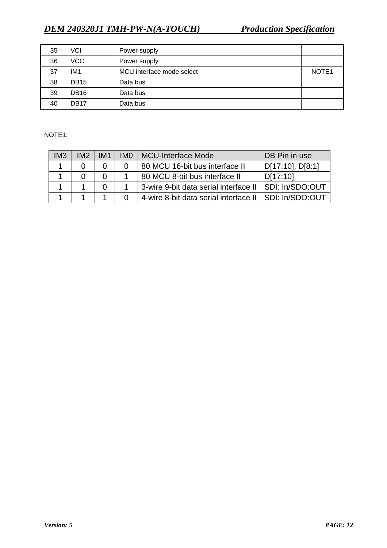| 35 | VCI             | Power supply              |                   |
|----|-----------------|---------------------------|-------------------|
| 36 | <b>VCC</b>      | Power supply              |                   |
| 37 | IM <sub>1</sub> | MCU interface mode select | NOTE <sub>1</sub> |
| 38 | <b>DB15</b>     | Data bus                  |                   |
| 39 | <b>DB16</b>     | Data bus                  |                   |
| 40 | <b>DB17</b>     | Data bus                  |                   |

NOTE1:

| IM3 | IM <sub>2</sub> | IM <sub>1</sub> | IMO | <b>MCU-Interface Mode</b>                               | DB Pin in use    |
|-----|-----------------|-----------------|-----|---------------------------------------------------------|------------------|
|     |                 |                 |     | 80 MCU 16-bit bus interface II                          | D[17:10], D[8:1] |
|     |                 |                 |     | 80 MCU 8-bit bus interface II                           | D[17:10]         |
|     |                 |                 |     | 3-wire 9-bit data serial interface II                   | SDI: In/SDO:OUT  |
|     |                 |                 |     | 4-wire 8-bit data serial interface II   SDI: In/SDO:OUT |                  |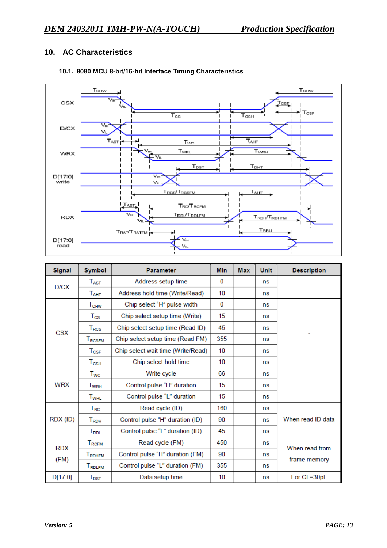# **10. AC Characteristics**



## **10.1. 8080 MCU 8-bit/16-bit Interface Timing Characteristics**

| <b>Signal</b> | <b>Symbol</b><br><b>Parameter</b>      |                                    | <b>Min</b> | <b>Max</b> | <b>Unit</b> | <b>Description</b> |
|---------------|----------------------------------------|------------------------------------|------------|------------|-------------|--------------------|
| D/CX          | $T_{\text{AST}}$                       | Address setup time                 | 0          |            | ns          |                    |
|               | T <sub>AHT</sub>                       | Address hold time (Write/Read)     | 10         |            | ns          |                    |
|               | $\mathsf{T}_{\mathsf{CHW}}$            | Chip select "H" pulse width        | 0          |            | ns          |                    |
|               | $T_{\rm CS}$                           | Chip select setup time (Write)     | 15         |            | ns          |                    |
| <b>CSX</b>    | $T_{RCS}$                              | Chip select setup time (Read ID)   | 45         |            | ns          |                    |
|               | $T_{\rm RCSFM}$                        | Chip select setup time (Read FM)   | 355        |            | ns          |                    |
|               | $T_{\text{CSF}}$                       | Chip select wait time (Write/Read) | 10         |            | ns          |                    |
|               | $T_{\scriptscriptstyle{\mathsf{CSH}}}$ | Chip select hold time              | 10         |            | ns          |                    |
|               | $T_{WC}$                               | Write cycle                        | 66         |            | ns          |                    |
| <b>WRX</b>    | <b>TwRH</b>                            | Control pulse "H" duration         | 15         |            | ns          |                    |
|               | $T_{\scriptstyle\rm WRL}$              | Control pulse "L" duration         | 15         |            | ns          |                    |
|               | $T_{RC}$                               | Read cycle (ID)                    | 160        |            | ns          |                    |
| RDX (ID)      | <b>T</b> <sub>RDH</sub>                | Control pulse "H" duration (ID)    | 90         |            | ns          | When read ID data  |
|               | $T_{\sf RDL}$                          | Control pulse "L" duration (ID)    | 45         |            | ns          |                    |
| <b>RDX</b>    | <b>TRCFM</b>                           | Read cycle (FM)                    | 450        |            | ns          | When read from     |
|               | <b>TRDHFM</b>                          | Control pulse "H" duration (FM)    | 90         |            | ns          | frame memory       |
| (FM)          | <b>TRDLFM</b>                          | Control pulse "L" duration (FM)    | 355        | ns         |             |                    |
| D[17:0]       | $T_{\texttt{DST}}$                     | Data setup time                    | 10         |            | ns          | For CL=30pF        |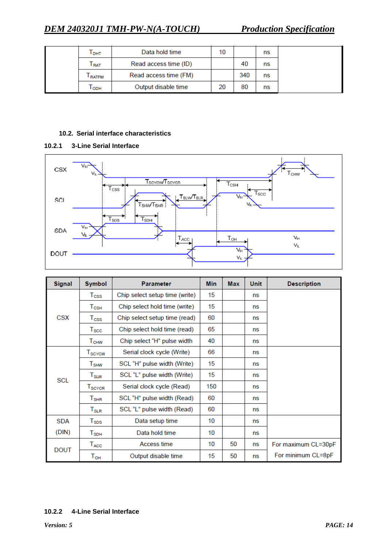| Т <sub>рнт</sub>            | Data hold time        | 10 |     | ns |
|-----------------------------|-----------------------|----|-----|----|
| $\mathsf{T}_{\mathsf{RAT}}$ | Read access time (ID) |    | 40  | ns |
| <b>RATFM</b>                | Read access time (FM) |    | 340 | ns |
| l орн                       | Output disable time   | 20 | 80  | ns |

#### **10.2. Serial interface characteristics**





| <b>Signal</b> | <b>Symbol</b><br><b>Parameter</b> |                                | <b>Min</b> | <b>Max</b> | <b>Unit</b> | <b>Description</b>  |
|---------------|-----------------------------------|--------------------------------|------------|------------|-------------|---------------------|
|               | $\mathsf{T}_{\textsf{CSS}}$       | Chip select setup time (write) | 15         |            | ns          |                     |
|               | $T_{\scriptstyle{\text{CSH}}}$    | Chip select hold time (write)  | 15         |            | ns          |                     |
| <b>CSX</b>    | $T_{\rm CSS}$                     | Chip select setup time (read)  | 60         |            | ns          |                     |
|               | $T_{\rm SCC}$                     | Chip select hold time (read)   | 65         |            | ns          |                     |
|               | $\mathsf{T}_{\mathsf{CHW}}$       | Chip select "H" pulse width    | 40         |            | ns          |                     |
|               | $\mathsf{T}_{\tt SCYCW}$          | Serial clock cycle (Write)     | 66         |            | ns          |                     |
|               | $T_{\scriptstyle{\text{SHW}}}$    | SCL "H" pulse width (Write)    | 15         |            | ns          |                     |
| <b>SCL</b>    | $T_{\scriptstyle\text{SLW}}$      | SCL "L" pulse width (Write)    | 15         |            | ns          |                     |
|               | $T_{\scriptstyle\text{SCYCR}}$    | Serial clock cycle (Read)      | 150        |            | ns          |                     |
|               | $T_{\sf SHR}$                     | SCL "H" pulse width (Read)     | 60         |            | ns          |                     |
|               | ${\mathsf T}_{\texttt{SLR}}$      | SCL "L" pulse width (Read)     | 60         |            | ns          |                     |
| <b>SDA</b>    | $T_{\texttt{SDS}}$                | Data setup time                | 10         |            | ns          |                     |
| (DIN)         | $T_{SDH}$                         | Data hold time                 | 10         |            | ns          |                     |
|               | $T_{\rm ACC}$                     | Access time                    | 10         | 50         | ns          | For maximum CL=30pF |
| <b>DOUT</b>   | $\mathsf{T}_{\mathsf{OH}}$        | Output disable time            | 15         | 50         | ns          | For minimum CL=8pF  |

#### **10.2.2 4-Line Serial Interface**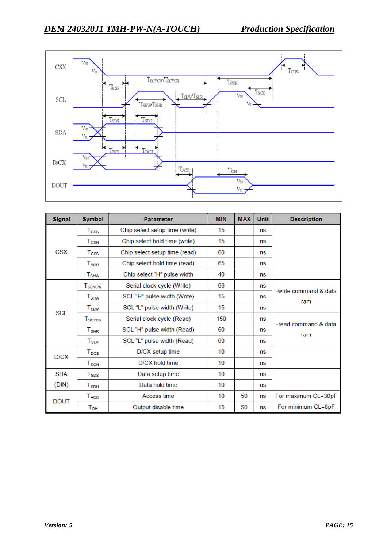

| <b>Signal</b> | <b>Symbol</b><br><b>Parameter</b>    |                                | <b>MIN</b> | <b>MAX</b> | <b>Unit</b> | <b>Description</b>    |
|---------------|--------------------------------------|--------------------------------|------------|------------|-------------|-----------------------|
|               | $T_{\rm CSS}$                        | Chip select setup time (write) | 15         |            | ns          |                       |
|               | $T_{\scriptscriptstyle{\text{CSH}}}$ | Chip select hold time (write)  | 15         |            | ns          |                       |
| CSX           | $T_{\rm CSS}$                        | Chip select setup time (read)  | 60         |            | ns          |                       |
|               | $T_{\rm SCC}$                        | Chip select hold time (read)   | 65         |            | ns          |                       |
|               | <b>T<sub>CHW</sub></b>               | Chip select "H" pulse width    | 40         |            | ns          |                       |
|               | T <sub>SCYCW</sub>                   | Serial clock cycle (Write)     | 66         |            | ns          | -write command & data |
|               | $T_{\text{SHW}}$                     | SCL "H" pulse width (Write)    | 15         |            | ns          | ram                   |
| <b>SCL</b>    | $T_{\scriptstyle\text{SLW}}$         | SCL "L" pulse width (Write)    | 15         |            | ns          |                       |
|               | T <sub>SCYCR</sub>                   | Serial clock cycle (Read)      | 150        |            | ns          | -read command & data  |
|               | $\mathsf{T}_{\mathsf{SHR}}$          | SCL "H" pulse width (Read)     | 60         |            | ns          | ram                   |
|               | $T_{\scriptstyle\text{SLR}}$         | SCL "L" pulse width (Read)     | 60         |            | ns          |                       |
| D/CX          | $T_{DCS}$                            | D/CX setup time                | 10         |            | ns          |                       |
|               | $T_{DCH}$                            | D/CX hold time                 | 10         |            | ns          |                       |
| <b>SDA</b>    | $T_{SDS}$                            | Data setup time                | 10         |            | ns          |                       |
| (DIN)         | $\mathsf{T}_{\mathsf{SDH}}$          | Data hold time                 | 10         |            | ns          |                       |
| <b>DOUT</b>   | $T_{\rm ACC}$                        | Access time                    | 10         | 50         | ns          | For maximum CL=30pF   |
|               | $T_{OH}$                             | Output disable time            | 15         | 50         | ns          | For minimum CL=8pF    |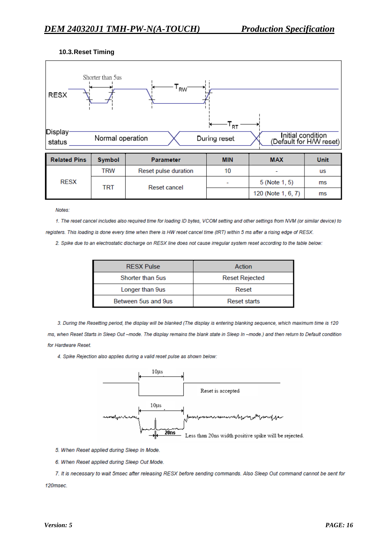#### **10.3.Reset Timing**



| <b>Related Pins</b> | <b>Symbol</b> | <b>Parameter</b>     | <b>MIN</b> | <b>MAX</b>               | Unit |
|---------------------|---------------|----------------------|------------|--------------------------|------|
| <b>RESX</b>         | trw           | Reset pulse duration | 10         | $\overline{\phantom{a}}$ | us   |
|                     | TRT           | Reset cancel         |            | 5 (Note 1, 5)            | ms   |
|                     |               |                      |            | 120 (Note 1, 6, 7)       | ms   |

Notes:

1. The reset cancel includes also required time for loading ID bytes, VCOM setting and other settings from NVM (or similar device) to registers. This loading is done every time when there is HW reset cancel time (tRT) within 5 ms after a rising edge of RESX.

2. Spike due to an electrostatic discharge on RESX line does not cause irregular system reset according to the table below:

| <b>RESX Pulse</b>   | Action                |
|---------------------|-----------------------|
| Shorter than 5us    | <b>Reset Rejected</b> |
| Longer than 9us     | Reset                 |
| Between 5us and 9us | Reset starts          |

3. During the Resetting period, the display will be blanked (The display is entering blanking sequence, which maximum time is 120 ms, when Reset Starts in Sleep Out -mode. The display remains the blank state in Sleep In -mode.) and then return to Default condition for Hardware Reset.

4. Spike Rejection also applies during a valid reset pulse as shown below:



5. When Reset applied during Sleep In Mode.

6. When Reset applied during Sleep Out Mode.

7. It is necessary to wait 5msec after releasing RESX before sending commands. Also Sleep Out command cannot be sent for 120msec.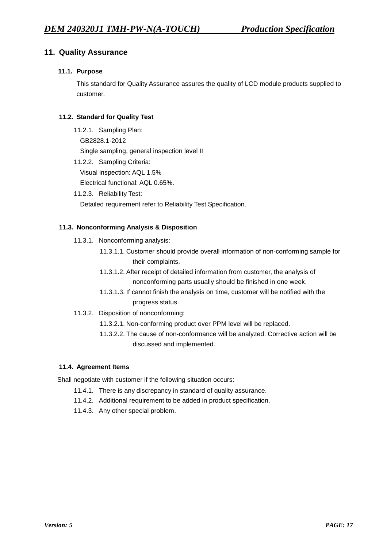# **11. Quality Assurance**

#### **11.1. Purpose**

This standard for Quality Assurance assures the quality of LCD module products supplied to customer.

#### **11.2. Standard for Quality Test**

- 11.2.1. Sampling Plan: GB2828.1-2012 Single sampling, general inspection level II
- 11.2.2. Sampling Criteria: Visual inspection: AQL 1.5% Electrical functional: AQL 0.65%.
- 11.2.3. Reliability Test:

Detailed requirement refer to Reliability Test Specification.

#### **11.3. Nonconforming Analysis & Disposition**

- 11.3.1. Nonconforming analysis:
	- 11.3.1.1. Customer should provide overall information of non-conforming sample for their complaints.
	- 11.3.1.2. After receipt of detailed information from customer, the analysis of nonconforming parts usually should be finished in one week.
	- 11.3.1.3. If cannot finish the analysis on time, customer will be notified with the progress status.
- 11.3.2. Disposition of nonconforming:
	- 11.3.2.1. Non-conforming product over PPM level will be replaced.
	- 11.3.2.2. The cause of non-conformance will be analyzed. Corrective action will be discussed and implemented.

#### **11.4. Agreement Items**

Shall negotiate with customer if the following situation occurs:

- 11.4.1. There is any discrepancy in standard of quality assurance.
- 11.4.2. Additional requirement to be added in product specification.
- 11.4.3. Any other special problem.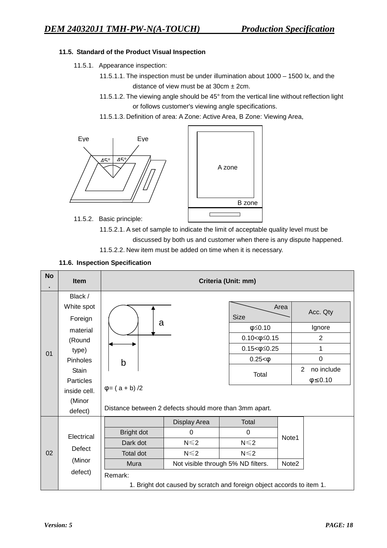#### **11.5. Standard of the Product Visual Inspection**

- 11.5.1. Appearance inspection:
	- 11.5.1.1. The inspection must be under illumination about 1000 1500 lx, and the distance of view must be at  $30 \text{cm} \pm 2 \text{cm}$ .
	- 11.5.1.2. The viewing angle should be 45° from the vertical line without reflection light or follows customer's viewing angle specifications.
	- 11.5.1.3. Definition of area: A Zone: Active Area, B Zone: Viewing Area,





- 11.5.2. Basic principle:
	- 11.5.2.1. A set of sample to indicate the limit of acceptable quality level must be
		- discussed by both us and customer when there is any dispute happened.
	- 11.5.2.2. New item must be added on time when it is necessary.

#### **11.6. Inspection Specification**

| <b>No</b> | Item                                                                                                                                          | Criteria (Unit: mm)                                                                       |                                                      |                                                                                                                 |                |                                                                                    |  |
|-----------|-----------------------------------------------------------------------------------------------------------------------------------------------|-------------------------------------------------------------------------------------------|------------------------------------------------------|-----------------------------------------------------------------------------------------------------------------|----------------|------------------------------------------------------------------------------------|--|
| 01        | Black /<br>White spot<br>Foreign<br>material<br>(Round<br>type)<br>Pinholes<br><b>Stain</b><br>Particles<br>inside cell.<br>(Minor<br>defect) | a<br>b<br>$\varphi = (a + b)/2$<br>Distance between 2 defects should more than 3mm apart. |                                                      | <b>Size</b><br>$\phi \leq 0.10$<br>$0.10 < \phi \leq 0.15$<br>$0.15 < \phi \leq 0.25$<br>$0.25 < \phi$<br>Total | Area           | Acc. Qty<br>Ignore<br>2<br>1<br>$\mathbf 0$<br>no include<br>2<br>$\phi \leq 0.10$ |  |
| 02        | Electrical<br>Defect<br>(Minor                                                                                                                | Bright dot<br>Dark dot<br><b>Total dot</b><br>Mura                                        | Display Area<br>$\Omega$<br>$N \leq 2$<br>$N \leq 2$ | Total<br>$\Omega$<br>$N \leq 2$<br>$N \leq 2$<br>Not visible through 5% ND filters.                             | Note1<br>Note2 |                                                                                    |  |
|           | defect)                                                                                                                                       | Remark:                                                                                   |                                                      | 1. Bright dot caused by scratch and foreign object accords to item 1.                                           |                |                                                                                    |  |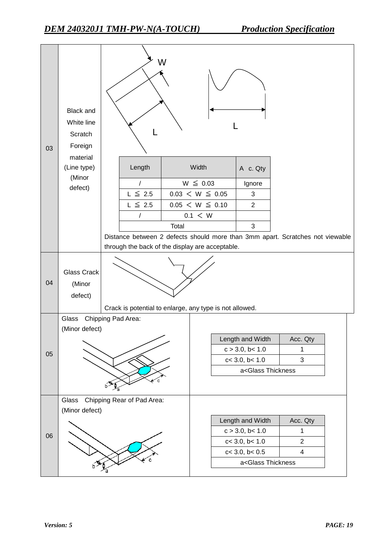| 03 | <b>Black and</b><br>White line<br>Scratch<br>Foreign |                                                                               | W     |                                                                      |                                                         |                         |  |
|----|------------------------------------------------------|-------------------------------------------------------------------------------|-------|----------------------------------------------------------------------|---------------------------------------------------------|-------------------------|--|
|    | material<br>(Line type)                              | Length                                                                        |       | Width                                                                | A c. Qty                                                |                         |  |
|    | (Minor                                               | $\sqrt{2}$                                                                    |       | $W \leq 0.03$                                                        | Ignore                                                  |                         |  |
|    | defect)                                              | $L \leq 2.5$                                                                  |       | $0.03 < W \leq 0.05$                                                 | 3                                                       |                         |  |
|    |                                                      | $L \leq 2.5$                                                                  |       | $0.05 < W \leq 0.10$                                                 | $\overline{2}$                                          |                         |  |
|    |                                                      | /                                                                             |       | $0.1 \leq W$                                                         |                                                         |                         |  |
|    |                                                      |                                                                               | Total |                                                                      | 3                                                       |                         |  |
|    |                                                      | Distance between 2 defects should more than 3mm apart. Scratches not viewable |       |                                                                      |                                                         |                         |  |
|    |                                                      | through the back of the display are acceptable.                               |       |                                                                      |                                                         |                         |  |
| 04 | <b>Glass Crack</b><br>(Minor<br>defect)              | Crack is potential to enlarge, any type is not allowed.                       |       |                                                                      |                                                         |                         |  |
|    | Glass                                                | Chipping Pad Area:                                                            |       |                                                                      |                                                         |                         |  |
|    | (Minor defect)                                       |                                                                               |       |                                                                      |                                                         |                         |  |
|    |                                                      |                                                                               |       |                                                                      | Length and Width                                        | Acc. Qty                |  |
| 05 |                                                      |                                                                               |       |                                                                      | c > 3.0, b < 1.0                                        | 1<br>3                  |  |
|    |                                                      |                                                                               |       | $c<$ 3.0, $b<$ 1.0<br>a <glass td="" thickness<=""><td></td></glass> |                                                         |                         |  |
|    |                                                      |                                                                               |       |                                                                      |                                                         |                         |  |
|    | Glass                                                | Chipping Rear of Pad Area:                                                    |       |                                                                      |                                                         |                         |  |
|    | (Minor defect)                                       |                                                                               |       |                                                                      |                                                         |                         |  |
|    |                                                      |                                                                               |       |                                                                      | Length and Width                                        | Acc. Qty                |  |
| 06 |                                                      |                                                                               |       |                                                                      | c > 3.0, b < 1.0<br>c < 3.0, b < 1.0                    | 1<br>$\overline{2}$     |  |
|    |                                                      |                                                                               |       |                                                                      | c < 3.0, b < 0.5                                        | $\overline{\mathbf{4}}$ |  |
|    |                                                      |                                                                               |       |                                                                      | a <glass td="" thickness<=""><td></td><td></td></glass> |                         |  |
|    |                                                      |                                                                               |       |                                                                      |                                                         |                         |  |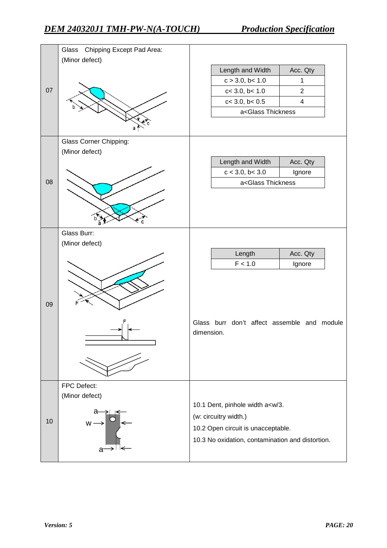|                | Chipping Except Pad Area:<br>Glass |                                                          |                |
|----------------|------------------------------------|----------------------------------------------------------|----------------|
|                | (Minor defect)                     | Length and Width                                         | Acc. Qty       |
|                |                                    | c > 3.0, b < 1.0                                         | $\mathbf{1}$   |
| 07             |                                    | c< 3.0, b< 1.0                                           | $\overline{2}$ |
|                |                                    | $c < 3.0$ , $b < 0.5$                                    | $\overline{4}$ |
|                |                                    | a <glass td="" thickness<=""><td></td></glass>           |                |
|                |                                    |                                                          |                |
|                | Glass Corner Chipping:             |                                                          |                |
|                | (Minor defect)                     |                                                          |                |
|                |                                    | Length and Width                                         | Acc. Qty       |
|                |                                    | c < 3.0, b < 3.0                                         | Ignore         |
|                |                                    | a <glass td="" thickness<=""><td></td></glass>           |                |
|                |                                    |                                                          |                |
|                |                                    |                                                          |                |
|                |                                    |                                                          |                |
|                | Glass Burr:                        |                                                          |                |
|                | (Minor defect)                     |                                                          |                |
|                |                                    | Length                                                   | Acc. Qty       |
|                |                                    | F < 1.0                                                  | Ignore         |
|                |                                    |                                                          |                |
|                |                                    |                                                          |                |
|                |                                    |                                                          |                |
|                |                                    |                                                          |                |
|                |                                    | Glass burr don't affect assemble and module              |                |
|                |                                    | dimension.                                               |                |
|                |                                    |                                                          |                |
|                |                                    |                                                          |                |
|                |                                    |                                                          |                |
|                | FPC Defect:                        |                                                          |                |
|                | (Minor defect)                     |                                                          |                |
|                |                                    | 10.1 Dent, pinhole width a <w 3.<="" td=""><td></td></w> |                |
| 08<br>09<br>10 |                                    | (w: circuitry width.)                                    |                |
|                |                                    | 10.2 Open circuit is unacceptable.                       |                |
|                |                                    | 10.3 No oxidation, contamination and distortion.         |                |
|                |                                    |                                                          |                |
|                |                                    |                                                          |                |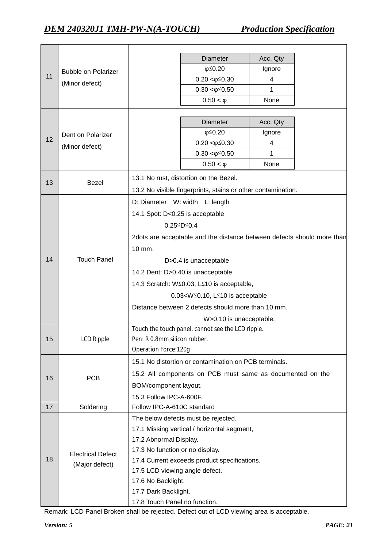|    |                            |                                                                        | Diameter                                                     | Acc. Qty |  |  |  |
|----|----------------------------|------------------------------------------------------------------------|--------------------------------------------------------------|----------|--|--|--|
| 11 | <b>Bubble on Polarizer</b> |                                                                        | $\phi \leq 0.20$                                             | Ignore   |  |  |  |
|    | (Minor defect)             |                                                                        | $0.20 < \phi \leq 0.30$                                      | 4        |  |  |  |
|    |                            |                                                                        | $0.30 < \phi \leq 0.50$                                      | 1        |  |  |  |
|    |                            |                                                                        | $0.50 < \varphi$                                             | None     |  |  |  |
|    |                            |                                                                        |                                                              |          |  |  |  |
|    |                            |                                                                        | <b>Diameter</b>                                              | Acc. Qty |  |  |  |
| 12 | Dent on Polarizer          |                                                                        | $\phi \leq 0.20$                                             | Ignore   |  |  |  |
|    | (Minor defect)             |                                                                        | $0.20 < \phi \leq 0.30$                                      | 4        |  |  |  |
|    |                            |                                                                        | $0.30 < \phi \leq 0.50$                                      | 1        |  |  |  |
|    |                            |                                                                        | $0.50 < \varphi$                                             | None     |  |  |  |
| 13 | Bezel                      |                                                                        | 13.1 No rust, distortion on the Bezel.                       |          |  |  |  |
|    |                            |                                                                        | 13.2 No visible fingerprints, stains or other contamination. |          |  |  |  |
|    |                            |                                                                        | D: Diameter W: width L: length                               |          |  |  |  |
|    |                            | 14.1 Spot: D<0.25 is acceptable                                        |                                                              |          |  |  |  |
|    |                            |                                                                        | 0.25≤D≤0.4                                                   |          |  |  |  |
|    |                            | 2dots are acceptable and the distance between defects should more than |                                                              |          |  |  |  |
|    |                            | 10 mm.                                                                 |                                                              |          |  |  |  |
| 14 | <b>Touch Panel</b>         | D>0.4 is unacceptable                                                  |                                                              |          |  |  |  |
|    |                            | 14.2 Dent: D>0.40 is unacceptable                                      |                                                              |          |  |  |  |
|    |                            | 14.3 Scratch: W≤0.03, L≤10 is acceptable,                              |                                                              |          |  |  |  |
|    |                            | $0.03 < W \leq 0.10$ , L $\leq 10$ is acceptable                       |                                                              |          |  |  |  |
|    |                            | Distance between 2 defects should more than 10 mm.                     |                                                              |          |  |  |  |
|    |                            |                                                                        | W>0.10 is unacceptable.                                      |          |  |  |  |
|    |                            |                                                                        | Touch the touch panel, cannot see the LCD ripple.            |          |  |  |  |
| 15 | LCD Ripple                 | Pen: R 0.8mm silicon rubber.                                           |                                                              |          |  |  |  |
|    |                            | <b>Operation Force: 120g</b>                                           |                                                              |          |  |  |  |
|    |                            |                                                                        | 15.1 No distortion or contamination on PCB terminals.        |          |  |  |  |
| 16 | <b>PCB</b>                 |                                                                        | 15.2 All components on PCB must same as documented on the    |          |  |  |  |
|    |                            | BOM/component layout.                                                  |                                                              |          |  |  |  |
|    |                            | 15.3 Follow IPC-A-600F.                                                |                                                              |          |  |  |  |
| 17 | Soldering                  | Follow IPC-A-610C standard                                             |                                                              |          |  |  |  |
|    |                            |                                                                        | The below defects must be rejected.                          |          |  |  |  |
|    |                            |                                                                        | 17.1 Missing vertical / horizontal segment,                  |          |  |  |  |
|    |                            | 17.2 Abnormal Display.                                                 |                                                              |          |  |  |  |
|    | <b>Electrical Defect</b>   | 17.3 No function or no display.                                        |                                                              |          |  |  |  |
| 18 | (Major defect)             |                                                                        | 17.4 Current exceeds product specifications.                 |          |  |  |  |
|    |                            | 17.5 LCD viewing angle defect.                                         |                                                              |          |  |  |  |
|    |                            | 17.6 No Backlight.                                                     |                                                              |          |  |  |  |
|    |                            | 17.7 Dark Backlight.                                                   |                                                              |          |  |  |  |
|    |                            | 17.8 Touch Panel no function.                                          |                                                              |          |  |  |  |

Remark: LCD Panel Broken shall be rejected. Defect out of LCD viewing area is acceptable.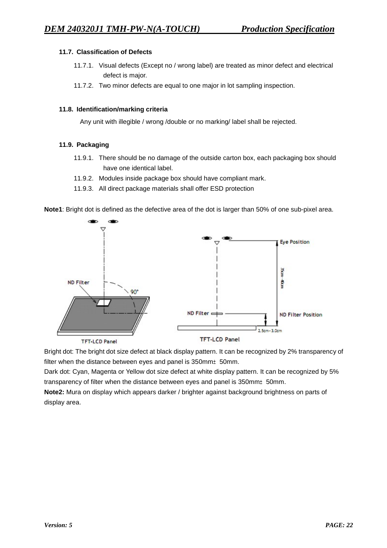#### **11.7. Classification of Defects**

- 11.7.1. Visual defects (Except no / wrong label) are treated as minor defect and electrical defect is major.
- 11.7.2. Two minor defects are equal to one major in lot sampling inspection.

#### **11.8. Identification/marking criteria**

Any unit with illegible / wrong /double or no marking/ label shall be rejected.

#### **11.9. Packaging**

- 11.9.1. There should be no damage of the outside carton box, each packaging box should have one identical label.
- 11.9.2. Modules inside package box should have compliant mark.
- 11.9.3. All direct package materials shall offer ESD protection

**Note1**: Bright dot is defined as the defective area of the dot is larger than 50% of one sub-pixel area.



Bright dot: The bright dot size defect at black display pattern. It can be recognized by 2% transparency of filter when the distance between eyes and panel is 350mm±50mm.

Dark dot: Cyan, Magenta or Yellow dot size defect at white display pattern. It can be recognized by 5% transparency of filter when the distance between eyes and panel is 350mm $\pm$ 50mm.

**Note2:** Mura on display which appears darker / brighter against background brightness on parts of display area.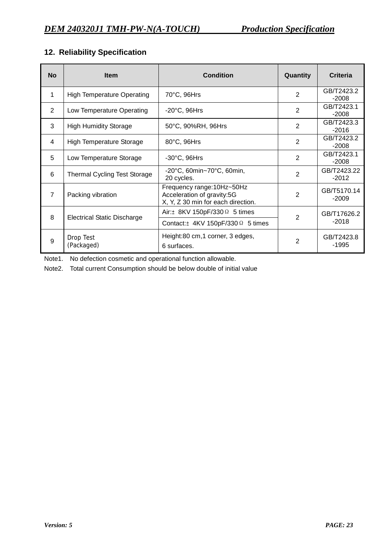# **12. Reliability Specification**

| <b>No</b>      | <b>Item</b>                         | <b>Condition</b>                                                                               | Quantity       | <b>Criteria</b>        |
|----------------|-------------------------------------|------------------------------------------------------------------------------------------------|----------------|------------------------|
| 1              | <b>High Temperature Operating</b>   | 70°C, 96Hrs                                                                                    | $\overline{2}$ | GB/T2423.2<br>$-2008$  |
| 2              | Low Temperature Operating           | $-20^{\circ}$ C, 96Hrs                                                                         | $\overline{2}$ | GB/T2423.1<br>$-2008$  |
| 3              | <b>High Humidity Storage</b>        | 50°C, 90%RH, 96Hrs                                                                             | $\overline{2}$ | GB/T2423.3<br>$-2016$  |
| 4              | <b>High Temperature Storage</b>     | 80°C, 96Hrs                                                                                    | $\overline{2}$ | GB/T2423.2<br>$-2008$  |
| 5              | Low Temperature Storage             | $-30^{\circ}$ C, 96Hrs                                                                         | $\overline{2}$ | GB/T2423.1<br>$-2008$  |
| 6              | <b>Thermal Cycling Test Storage</b> | $-20^{\circ}$ C, 60min $-70^{\circ}$ C, 60min,<br>20 cycles.                                   | $\overline{2}$ | GB/T2423.22<br>$-2012$ |
| $\overline{7}$ | Packing vibration                   | Frequency range: 10Hz~50Hz<br>Acceleration of gravity:5G<br>X, Y, Z 30 min for each direction. | $\overline{2}$ | GB/T5170.14<br>$-2009$ |
| 8              | <b>Electrical Static Discharge</b>  | Air: $\pm$ 8KV 150pF/330 $\Omega$ 5 times                                                      | $\mathbf{2}$   | GB/T17626.2            |
|                |                                     | Contact: $\pm$ 4KV 150pF/330 $\Omega$ 5 times                                                  |                | $-2018$                |
| 9              | Drop Test<br>(Packaged)             | Height:80 cm,1 corner, 3 edges,<br>6 surfaces.                                                 | $\overline{2}$ | GB/T2423.8<br>$-1995$  |

Note1. No defection cosmetic and operational function allowable.

Note2. Total current Consumption should be below double of initial value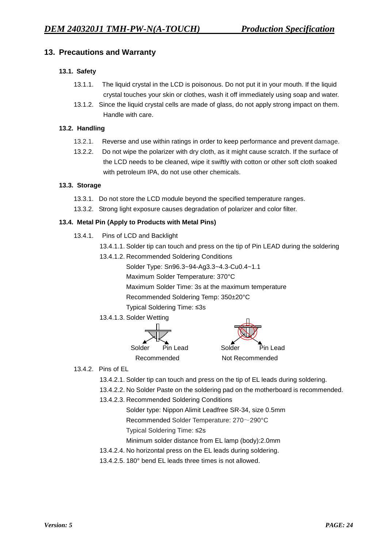# **13. Precautions and Warranty**

#### **13.1. Safety**

- 13.1.1. The liquid crystal in the LCD is poisonous. Do not put it in your mouth. If the liquid crystal touches your skin or clothes, wash it off immediately using soap and water.
- 13.1.2. Since the liquid crystal cells are made of glass, do not apply strong impact on them. Handle with care.

#### **13.2. Handling**

- 13.2.1. Reverse and use within ratings in order to keep performance and prevent damage.
- 13.2.2. Do not wipe the polarizer with dry cloth, as it might cause scratch. If the surface of the LCD needs to be cleaned, wipe it swiftly with cotton or other soft cloth soaked with petroleum IPA, do not use other chemicals.

#### **13.3. Storage**

- 13.3.1. Do not store the LCD module beyond the specified temperature ranges.
- 13.3.2. Strong light exposure causes degradation of polarizer and color filter.

#### **13.4. Metal Pin (Apply to Products with Metal Pins)**

- 13.4.1. Pins of LCD and Backlight
	- 13.4.1.1. Solder tip can touch and press on the tip of Pin LEAD during the soldering
	- 13.4.1.2. Recommended Soldering Conditions
		- Solder Type: Sn96.3~94-Ag3.3~4.3-Cu0.4~1.1

Maximum Solder Temperature: 370°C

Maximum Solder Time: 3s at the maximum temperature

Recommended Soldering Temp: 350±20°C

Typical Soldering Time: ≤3s

13.4.1.3. Solder Wetting



- 13.4.2. Pins of EL
	- 13.4.2.1. Solder tip can touch and press on the tip of EL leads during soldering.
	- 13.4.2.2. No Solder Paste on the soldering pad on the motherboard is recommended.
	- 13.4.2.3. Recommended Soldering Conditions
		- Solder type: Nippon Alimit Leadfree SR-34, size 0.5mm

Recommended Solder Temperature: 270~290°C

- Typical Soldering Time: ≤2s
- Minimum solder distance from EL lamp (body):2.0mm
- 13.4.2.4. No horizontal press on the EL leads during soldering.
- 13.4.2.5. 180° bend EL leads three times is not allowed.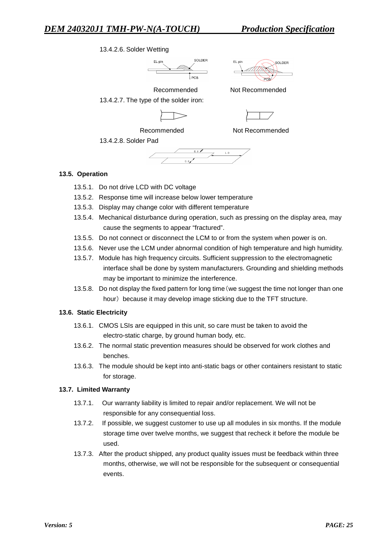#### 13.4.2.6. Solder Wetting





Recommended Not Recommended 13.4.2.7. The type of the solder iron:



Recommended Not Recommended



#### **13.5. Operation**

13.5.1. Do not drive LCD with DC voltage

13.4.2.8. Solder Pad

- 13.5.2. Response time will increase below lower temperature
- 13.5.3. Display may change color with different temperature
- 13.5.4. Mechanical disturbance during operation, such as pressing on the display area, may cause the segments to appear "fractured".
- 13.5.5. Do not connect or disconnect the LCM to or from the system when power is on.
- 13.5.6. Never use the LCM under abnormal condition of high temperature and high humidity.
- 13.5.7. Module has high frequency circuits. Sufficient suppression to the electromagnetic interface shall be done by system manufacturers. Grounding and shielding methods may be important to minimize the interference.
- 13.5.8. Do not display the fixed pattern for long time(we suggest the time not longer than one hour) because it may develop image sticking due to the TFT structure.

#### **13.6. Static Electricity**

- 13.6.1. CMOS LSIs are equipped in this unit, so care must be taken to avoid the electro-static charge, by ground human body, etc.
- 13.6.2. The normal static prevention measures should be observed for work clothes and benches.
- 13.6.3. The module should be kept into anti-static bags or other containers resistant to static for storage.

#### **13.7. Limited Warranty**

- 13.7.1. Our warranty liability is limited to repair and/or replacement. We will not be responsible for any consequential loss.
- 13.7.2. If possible, we suggest customer to use up all modules in six months. If the module storage time over twelve months, we suggest that recheck it before the module be used.
- 13.7.3. After the product shipped, any product quality issues must be feedback within three months, otherwise, we will not be responsible for the subsequent or consequential events.